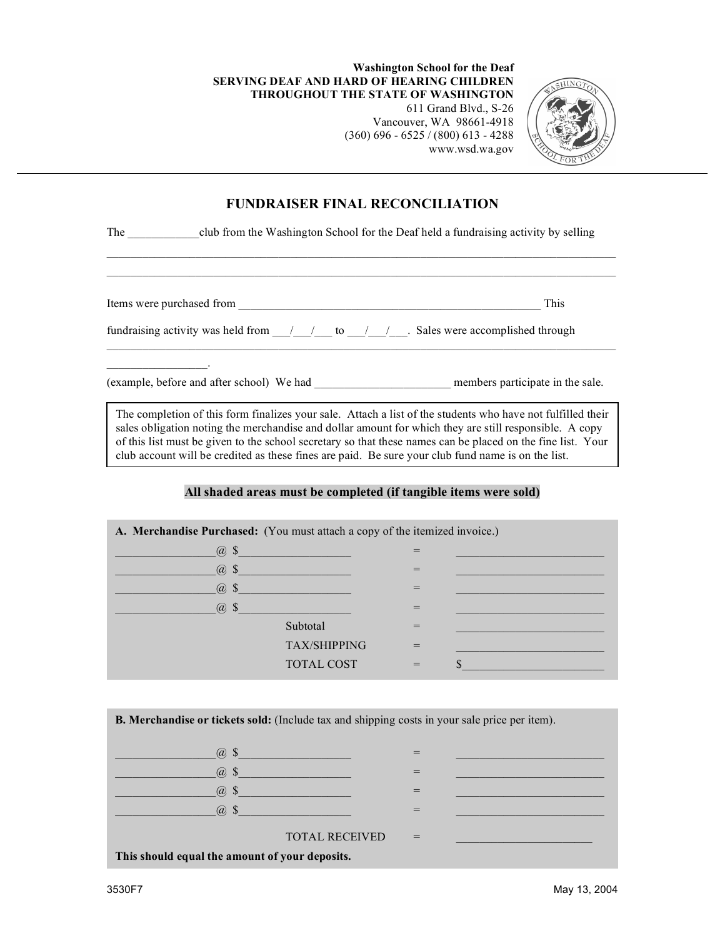**Washington School for the Deaf SERVING DEAF AND HARD OF HEARING CHILDREN THROUGHOUT THE STATE OF WASHINGTON**

611 Grand Blvd., S-26 Vancouver, WA 98661-4918 (360) 696 - 6525 / (800) 613 - 4288 www.wsd.wa.gov



## **FUNDRAISER FINAL RECONCILIATION**

 $\mathcal{L}_\text{max}$ 

The club from the Washington School for the Deaf held a fundraising activity by selling

Items were purchased from \_\_\_\_\_\_\_\_\_\_\_\_\_\_\_\_\_\_\_\_\_\_\_\_\_\_\_\_\_\_\_\_\_\_\_\_\_\_\_\_\_\_\_\_\_\_\_\_\_\_\_ This

 $\mathcal{L}=\mathcal{L}^{\mathcal{L}}$  , where  $\mathcal{L}^{\mathcal{L}}$  , we have the set of  $\mathcal{L}^{\mathcal{L}}$ 

fundraising activity was held from  $\frac{1}{2}$  to  $\frac{1}{2}$ . Sales were accomplished through

(example, before and after school) We had \_\_\_\_\_\_\_\_\_\_\_\_\_\_\_\_\_\_\_\_\_\_\_ members participate in the sale.

The completion of this form finalizes your sale. Attach a list of the students who have not fulfilled their sales obligation noting the merchandise and dollar amount for which they are still responsible. A copy of this list must be given to the school secretary so that these names can be placed on the fine list. Your club account will be credited as these fines are paid. Be sure your club fund name is on the list.

## **All shaded areas must be completed (if tangible items were sold)**

**A. Merchandise Purchased:** (You must attach a copy of the itemized invoice.)  $(a)$  \$  $\widehat{a}$  \$  $\qquad \qquad =$  $\omega$  \$  $\overline{\omega}$  =  $\omega$  \$  $Subtotal$  =  $TAX/SHIPPING =$  $\text{TOTAL COST}$  =  $\text{\$}$ 

**B. Merchandise or tickets sold:** (Include tax and shipping costs in your sale price per item).

| (a)<br>ാ                                       |     |  |  |  |  |  |  |
|------------------------------------------------|-----|--|--|--|--|--|--|
| $\varpi$<br>-S                                 |     |  |  |  |  |  |  |
| $\varpi$<br>-S                                 |     |  |  |  |  |  |  |
| $(a)$ \$                                       |     |  |  |  |  |  |  |
| <b>TOTAL RECEIVED</b>                          | $=$ |  |  |  |  |  |  |
| This should equal the amount of your deposits. |     |  |  |  |  |  |  |